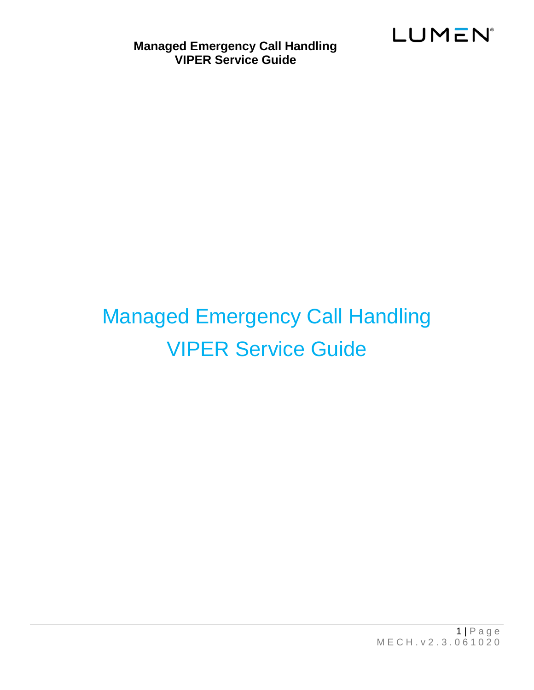



 $1 | P \nvert a \nvert q \nvert e$ M E C H . v 2 . 3 . 0 6 1 0 2 0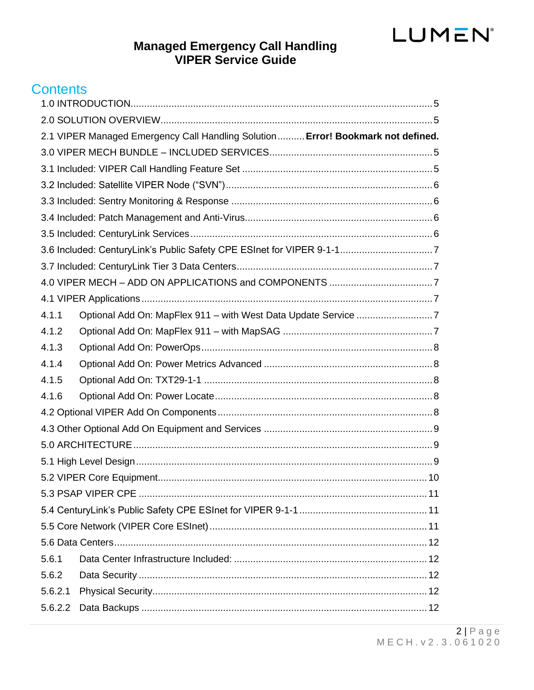# **Managed Emergency Call Handling<br>VIPER Service Guide**

# **Contents**

|         | 2.1 VIPER Managed Emergency Call Handling Solution  Error! Bookmark not defined. |  |  |  |
|---------|----------------------------------------------------------------------------------|--|--|--|
|         |                                                                                  |  |  |  |
|         |                                                                                  |  |  |  |
|         |                                                                                  |  |  |  |
|         |                                                                                  |  |  |  |
|         |                                                                                  |  |  |  |
|         |                                                                                  |  |  |  |
|         |                                                                                  |  |  |  |
|         |                                                                                  |  |  |  |
|         |                                                                                  |  |  |  |
|         |                                                                                  |  |  |  |
| 4.1.1   |                                                                                  |  |  |  |
| 4.1.2   |                                                                                  |  |  |  |
| 4.1.3   |                                                                                  |  |  |  |
| 4.1.4   |                                                                                  |  |  |  |
| 4.1.5   |                                                                                  |  |  |  |
| 4.1.6   |                                                                                  |  |  |  |
|         |                                                                                  |  |  |  |
|         |                                                                                  |  |  |  |
|         |                                                                                  |  |  |  |
|         |                                                                                  |  |  |  |
|         |                                                                                  |  |  |  |
|         |                                                                                  |  |  |  |
|         |                                                                                  |  |  |  |
|         |                                                                                  |  |  |  |
|         |                                                                                  |  |  |  |
| 5.6.1   |                                                                                  |  |  |  |
| 5.6.2   |                                                                                  |  |  |  |
| 5.6.2.1 |                                                                                  |  |  |  |
| 5.6.2.2 |                                                                                  |  |  |  |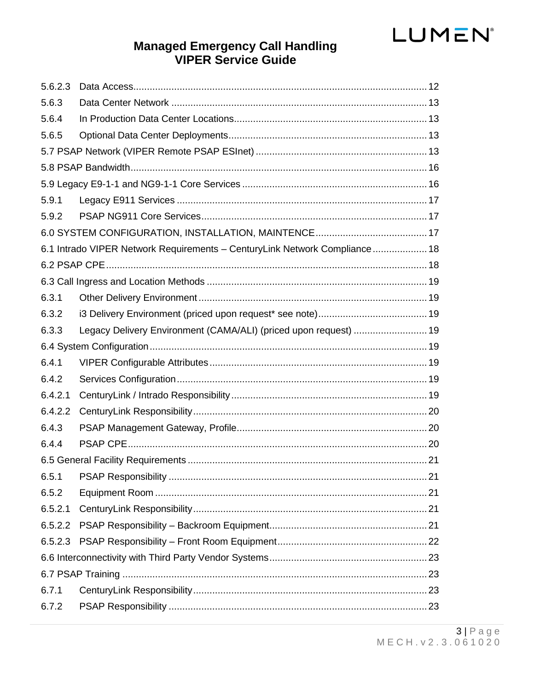# **Managed Emergency Call Handling<br>VIPER Service Guide**

| 5.6.2.3 |                                                                            |  |  |  |
|---------|----------------------------------------------------------------------------|--|--|--|
| 5.6.3   |                                                                            |  |  |  |
| 5.6.4   |                                                                            |  |  |  |
| 5.6.5   |                                                                            |  |  |  |
|         |                                                                            |  |  |  |
|         |                                                                            |  |  |  |
|         |                                                                            |  |  |  |
| 5.9.1   |                                                                            |  |  |  |
| 5.9.2   |                                                                            |  |  |  |
|         |                                                                            |  |  |  |
|         | 6.1 Intrado VIPER Network Requirements - CenturyLink Network Compliance 18 |  |  |  |
|         |                                                                            |  |  |  |
|         |                                                                            |  |  |  |
| 6.3.1   |                                                                            |  |  |  |
| 6.3.2   |                                                                            |  |  |  |
| 6.3.3   | Legacy Delivery Environment (CAMA/ALI) (priced upon request)  19           |  |  |  |
|         |                                                                            |  |  |  |
| 6.4.1   |                                                                            |  |  |  |
| 6.4.2   |                                                                            |  |  |  |
| 6.4.2.1 |                                                                            |  |  |  |
| 6.4.2.2 |                                                                            |  |  |  |
| 6.4.3   |                                                                            |  |  |  |
| 6.4.4   |                                                                            |  |  |  |
|         |                                                                            |  |  |  |
| 6.5.1   |                                                                            |  |  |  |
| 6.5.2   |                                                                            |  |  |  |
| 6.5.2.1 |                                                                            |  |  |  |
| 6.5.2.2 |                                                                            |  |  |  |
| 6.5.2.3 |                                                                            |  |  |  |
|         |                                                                            |  |  |  |
|         |                                                                            |  |  |  |
| 6.7.1   |                                                                            |  |  |  |
| 6.7.2   |                                                                            |  |  |  |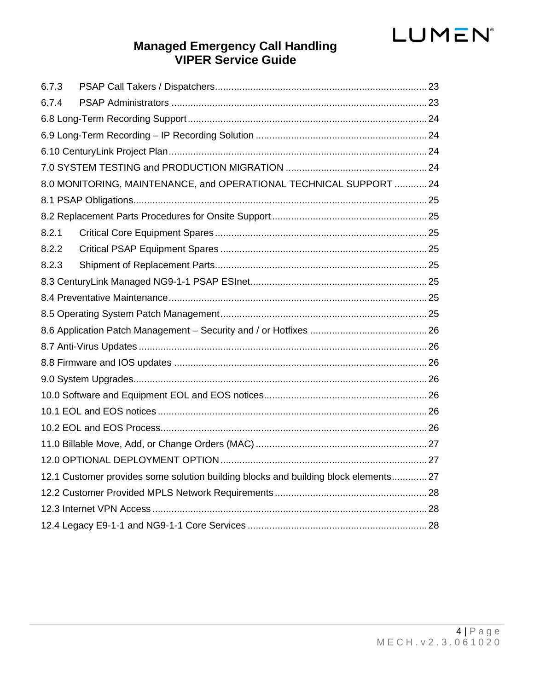# **Managed Emergency Call Handling VIPER Service Guide**

| 6.7.3                                                                               |  |  |  |
|-------------------------------------------------------------------------------------|--|--|--|
| 6.7.4                                                                               |  |  |  |
|                                                                                     |  |  |  |
|                                                                                     |  |  |  |
|                                                                                     |  |  |  |
|                                                                                     |  |  |  |
| 8.0 MONITORING, MAINTENANCE, and OPERATIONAL TECHNICAL SUPPORT  24                  |  |  |  |
|                                                                                     |  |  |  |
|                                                                                     |  |  |  |
| 8.2.1                                                                               |  |  |  |
| 8.2.2                                                                               |  |  |  |
| 8.2.3                                                                               |  |  |  |
|                                                                                     |  |  |  |
|                                                                                     |  |  |  |
|                                                                                     |  |  |  |
|                                                                                     |  |  |  |
|                                                                                     |  |  |  |
|                                                                                     |  |  |  |
|                                                                                     |  |  |  |
|                                                                                     |  |  |  |
|                                                                                     |  |  |  |
|                                                                                     |  |  |  |
|                                                                                     |  |  |  |
|                                                                                     |  |  |  |
| 12.1 Customer provides some solution building blocks and building block elements 27 |  |  |  |
|                                                                                     |  |  |  |
|                                                                                     |  |  |  |
|                                                                                     |  |  |  |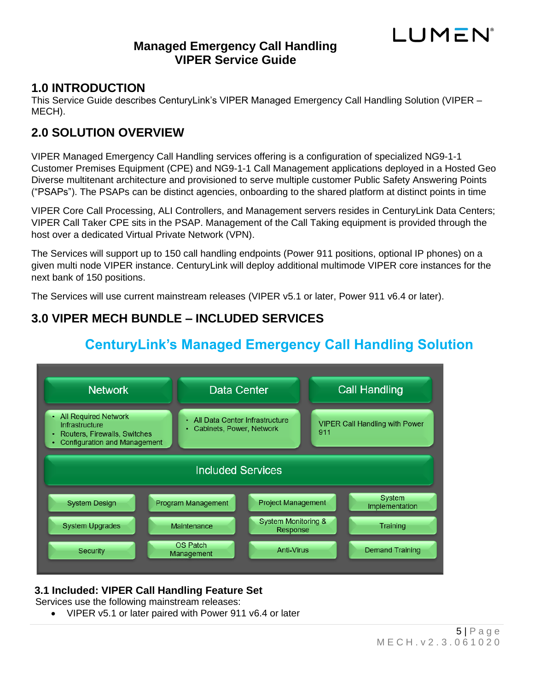# LUMEN

# <span id="page-4-0"></span>**1.0 INTRODUCTION**

This Service Guide describes CenturyLink's VIPER Managed Emergency Call Handling Solution (VIPER – MECH).

# <span id="page-4-1"></span>**2.0 SOLUTION OVERVIEW**

VIPER Managed Emergency Call Handling services offering is a configuration of specialized NG9-1-1 Customer Premises Equipment (CPE) and NG9-1-1 Call Management applications deployed in a Hosted Geo Diverse multitenant architecture and provisioned to serve multiple customer Public Safety Answering Points ("PSAPs"). The PSAPs can be distinct agencies, onboarding to the shared platform at distinct points in time

VIPER Core Call Processing, ALI Controllers, and Management servers resides in CenturyLink Data Centers; VIPER Call Taker CPE sits in the PSAP. Management of the Call Taking equipment is provided through the host over a dedicated Virtual Private Network (VPN).

The Services will support up to 150 call handling endpoints (Power 911 positions, optional IP phones) on a given multi node VIPER instance. CenturyLink will deploy additional multimode VIPER core instances for the next bank of 150 positions.

The Services will use current mainstream releases (VIPER v5.1 or later, Power 911 v6.4 or later).

# <span id="page-4-2"></span>**3.0 VIPER MECH BUNDLE – INCLUDED SERVICES**



# **CenturyLink's Managed Emergency Call Handling Solution**

### <span id="page-4-3"></span>**3.1 Included: VIPER Call Handling Feature Set**

Services use the following mainstream releases:

• VIPER v5.1 or later paired with Power 911 v6.4 or later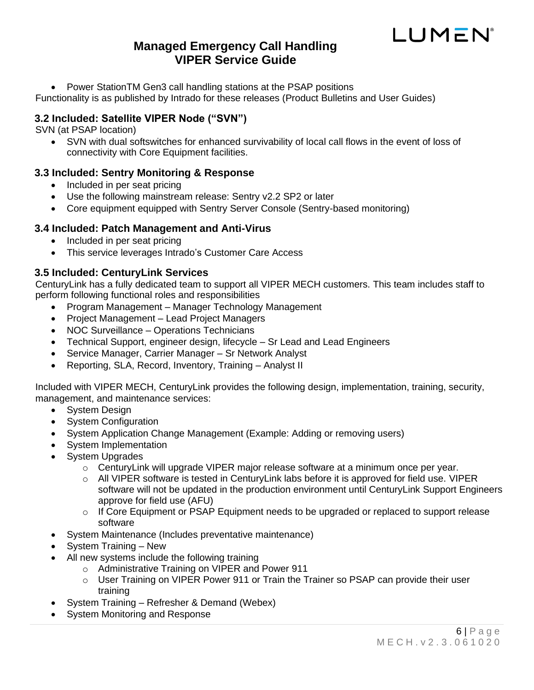

• Power StationTM Gen3 call handling stations at the PSAP positions

Functionality is as published by Intrado for these releases (Product Bulletins and User Guides)

#### <span id="page-5-0"></span>**3.2 Included: Satellite VIPER Node ("SVN")**

SVN (at PSAP location)

• SVN with dual softswitches for enhanced survivability of local call flows in the event of loss of connectivity with Core Equipment facilities.

#### <span id="page-5-1"></span>**3.3 Included: Sentry Monitoring & Response**

- Included in per seat pricing
- Use the following mainstream release: Sentry v2.2 SP2 or later
- Core equipment equipped with Sentry Server Console (Sentry-based monitoring)

#### <span id="page-5-2"></span>**3.4 Included: Patch Management and Anti-Virus**

- Included in per seat pricing
- This service leverages Intrado's Customer Care Access

#### <span id="page-5-3"></span>**3.5 Included: CenturyLink Services**

CenturyLink has a fully dedicated team to support all VIPER MECH customers. This team includes staff to perform following functional roles and responsibilities

- Program Management Manager Technology Management
- Project Management Lead Project Managers
- NOC Surveillance Operations Technicians
- Technical Support, engineer design, lifecycle Sr Lead and Lead Engineers
- Service Manager, Carrier Manager Sr Network Analyst
- Reporting, SLA, Record, Inventory, Training Analyst II

Included with VIPER MECH, CenturyLink provides the following design, implementation, training, security, management, and maintenance services:

- System Design
- System Configuration
- System Application Change Management (Example: Adding or removing users)
- System Implementation
- System Upgrades
	- $\circ$  CenturyLink will upgrade VIPER major release software at a minimum once per year.
	- $\circ$  All VIPER software is tested in CenturyLink labs before it is approved for field use. VIPER software will not be updated in the production environment until CenturyLink Support Engineers approve for field use (AFU)
	- o If Core Equipment or PSAP Equipment needs to be upgraded or replaced to support release software
- System Maintenance (Includes preventative maintenance)
- System Training New
- All new systems include the following training
	- o Administrative Training on VIPER and Power 911
	- $\circ$  User Training on VIPER Power 911 or Train the Trainer so PSAP can provide their user training
- System Training Refresher & Demand (Webex)
- System Monitoring and Response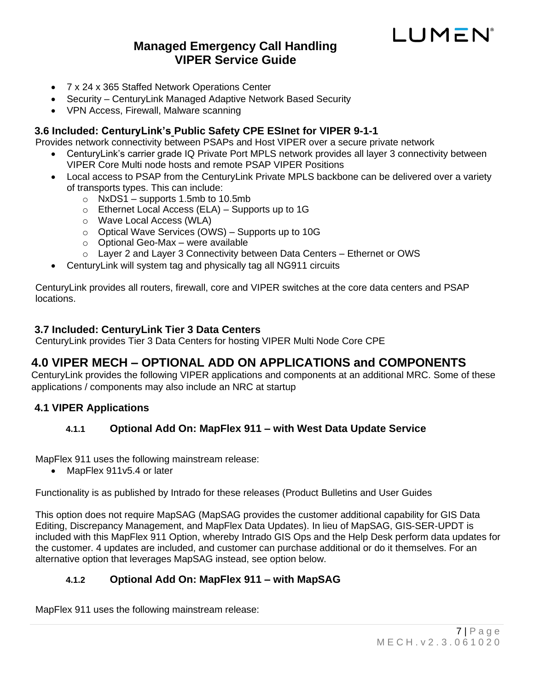

- 7 x 24 x 365 Staffed Network Operations Center
- Security CenturyLink Managed Adaptive Network Based Security
- VPN Access, Firewall, Malware scanning

#### <span id="page-6-0"></span>**3.6 Included: CenturyLink's Public Safety CPE ESInet for VIPER 9-1-1**

Provides network connectivity between PSAPs and Host VIPER over a secure private network

- CenturyLink's carrier grade IQ Private Port MPLS network provides all layer 3 connectivity between VIPER Core Multi node hosts and remote PSAP VIPER Positions
- Local access to PSAP from the CenturyLink Private MPLS backbone can be delivered over a variety of transports types. This can include:
	- $\circ$  NxDS1 supports 1.5mb to 10.5mb
	- $\circ$  Ethernet Local Access (ELA) Supports up to 1G
	- o Wave Local Access (WLA)
	- $\circ$  Optical Wave Services (OWS) Supports up to 10G
	- o Optional Geo-Max were available
	- o Layer 2 and Layer 3 Connectivity between Data Centers Ethernet or OWS
- CenturyLink will system tag and physically tag all NG911 circuits

CenturyLink provides all routers, firewall, core and VIPER switches at the core data centers and PSAP locations.

#### <span id="page-6-1"></span>**3.7 Included: CenturyLink Tier 3 Data Centers**

CenturyLink provides Tier 3 Data Centers for hosting VIPER Multi Node Core CPE

# <span id="page-6-2"></span>**4.0 VIPER MECH – OPTIONAL ADD ON APPLICATIONS and COMPONENTS**

CenturyLink provides the following VIPER applications and components at an additional MRC. Some of these applications / components may also include an NRC at startup

#### <span id="page-6-4"></span><span id="page-6-3"></span>**4.1 VIPER Applications**

#### **4.1.1 Optional Add On: MapFlex 911 – with West Data Update Service**

MapFlex 911 uses the following mainstream release:

• MapFlex 911v5.4 or later

Functionality is as published by Intrado for these releases (Product Bulletins and User Guides

This option does not require MapSAG (MapSAG provides the customer additional capability for GIS Data Editing, Discrepancy Management, and MapFlex Data Updates). In lieu of MapSAG, GIS-SER-UPDT is included with this MapFlex 911 Option, whereby Intrado GIS Ops and the Help Desk perform data updates for the customer. 4 updates are included, and customer can purchase additional or do it themselves. For an alternative option that leverages MapSAG instead, see option below.

#### <span id="page-6-5"></span>**4.1.2 Optional Add On: MapFlex 911 – with MapSAG**

MapFlex 911 uses the following mainstream release: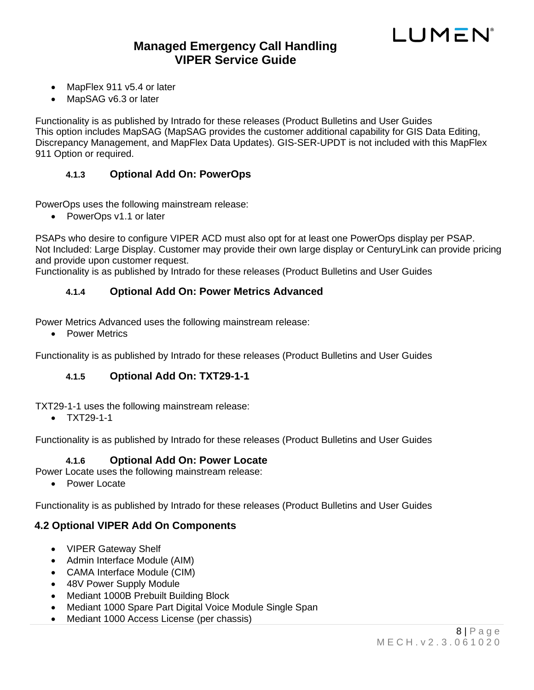

- MapFlex 911 v5.4 or later
- MapSAG v6.3 or later

Functionality is as published by Intrado for these releases (Product Bulletins and User Guides This option includes MapSAG (MapSAG provides the customer additional capability for GIS Data Editing, Discrepancy Management, and MapFlex Data Updates). GIS-SER-UPDT is not included with this MapFlex 911 Option or required.

#### <span id="page-7-0"></span>**4.1.3 Optional Add On: PowerOps**

PowerOps uses the following mainstream release:

• PowerOps v1.1 or later

PSAPs who desire to configure VIPER ACD must also opt for at least one PowerOps display per PSAP. Not Included: Large Display. Customer may provide their own large display or CenturyLink can provide pricing and provide upon customer request.

<span id="page-7-1"></span>Functionality is as published by Intrado for these releases (Product Bulletins and User Guides

#### **4.1.4 Optional Add On: Power Metrics Advanced**

Power Metrics Advanced uses the following mainstream release:

• Power Metrics

<span id="page-7-2"></span>Functionality is as published by Intrado for these releases (Product Bulletins and User Guides

#### **4.1.5 Optional Add On: TXT29-1-1**

TXT29-1-1 uses the following mainstream release:

• TXT29-1-1

<span id="page-7-3"></span>Functionality is as published by Intrado for these releases (Product Bulletins and User Guides

#### **4.1.6 Optional Add On: Power Locate**

Power Locate uses the following mainstream release:

• Power Locate

Functionality is as published by Intrado for these releases (Product Bulletins and User Guides

#### <span id="page-7-4"></span>**4.2 Optional VIPER Add On Components**

- VIPER Gateway Shelf
- Admin Interface Module (AIM)
- CAMA Interface Module (CIM)
- 48V Power Supply Module
- Mediant 1000B Prebuilt Building Block
- Mediant 1000 Spare Part Digital Voice Module Single Span
- Mediant 1000 Access License (per chassis)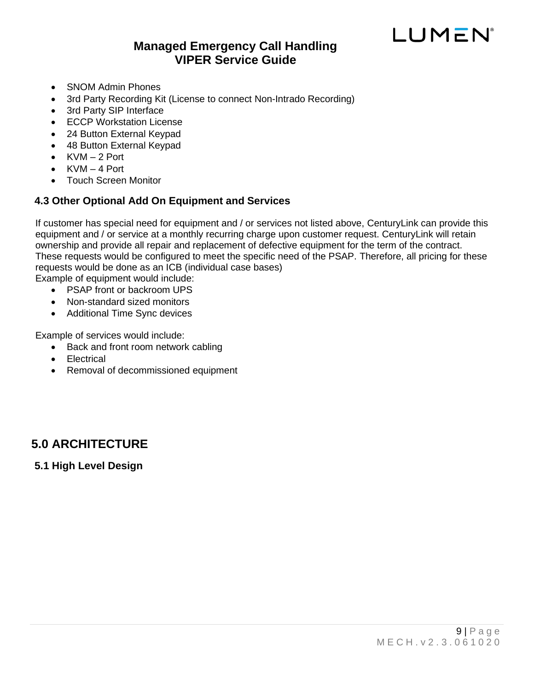# LUMEN

- SNOM Admin Phones
- 3rd Party Recording Kit (License to connect Non-Intrado Recording)
- 3rd Party SIP Interface
- ECCP Workstation License
- 24 Button External Keypad
- 48 Button External Keypad
- $KVM 2$  Port
- $\bullet$  KVM  $-$  4 Port
- Touch Screen Monitor

### <span id="page-8-0"></span>**4.3 Other Optional Add On Equipment and Services**

If customer has special need for equipment and / or services not listed above, CenturyLink can provide this equipment and / or service at a monthly recurring charge upon customer request. CenturyLink will retain ownership and provide all repair and replacement of defective equipment for the term of the contract. These requests would be configured to meet the specific need of the PSAP. Therefore, all pricing for these requests would be done as an ICB (individual case bases)

Example of equipment would include:

- PSAP front or backroom UPS
- Non-standard sized monitors
- Additional Time Sync devices

Example of services would include:

- Back and front room network cabling
- Electrical
- Removal of decommissioned equipment

# <span id="page-8-1"></span>**5.0 ARCHITECTURE**

<span id="page-8-2"></span>**5.1 High Level Design**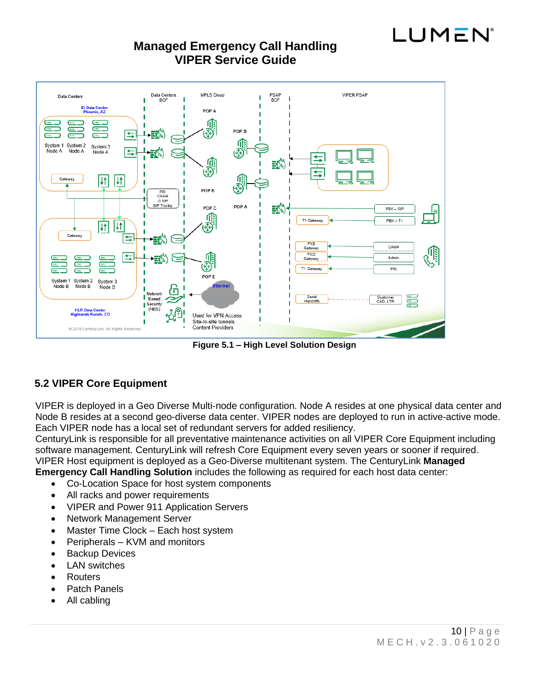



**Figure 5.1 – High Level Solution Design**

### <span id="page-9-0"></span>**5.2 VIPER Core Equipment**

VIPER is deployed in a Geo Diverse Multi-node configuration. Node A resides at one physical data center and Node B resides at a second geo-diverse data center. VIPER nodes are deployed to run in active-active mode. Each VIPER node has a local set of redundant servers for added resiliency.

CenturyLink is responsible for all preventative maintenance activities on all VIPER Core Equipment including software management. CenturyLink will refresh Core Equipment every seven years or sooner if required. VIPER Host equipment is deployed as a Geo-Diverse multitenant system. The CenturyLink **Managed** 

**Emergency Call Handling Solution** includes the following as required for each host data center:

- Co-Location Space for host system components
- All racks and power requirements
- VIPER and Power 911 Application Servers
- Network Management Server
- Master Time Clock Each host system
- Peripherals KVM and monitors
- Backup Devices
- LAN switches
- Routers
- Patch Panels
- All cabling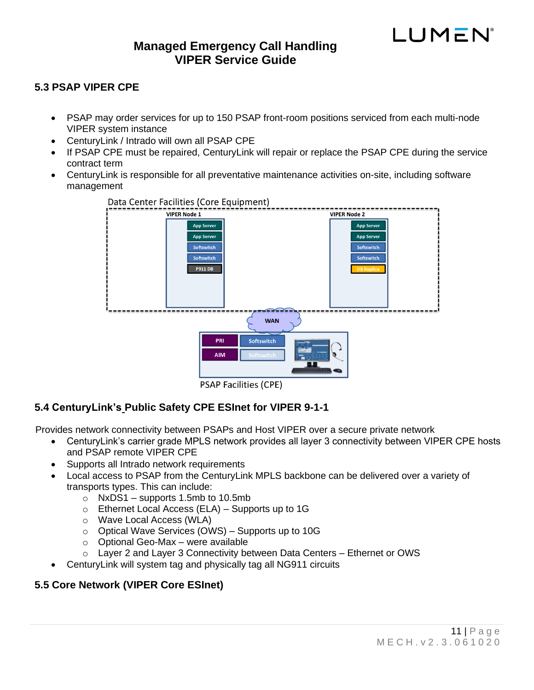# **Managed Emergency Call Handling VIPER Service Guide**

#### <span id="page-10-0"></span>**5.3 PSAP VIPER CPE**

- PSAP may order services for up to 150 PSAP front-room positions serviced from each multi-node VIPER system instance
- CenturyLink / Intrado will own all PSAP CPE
- If PSAP CPE must be repaired, CenturyLink will repair or replace the PSAP CPE during the service contract term
- CenturyLink is responsible for all preventative maintenance activities on-site, including software management



**PSAP Facilities (CPE)** 

#### <span id="page-10-1"></span>**5.4 CenturyLink's Public Safety CPE ESInet for VIPER 9-1-1**

Provides network connectivity between PSAPs and Host VIPER over a secure private network

- CenturyLink's carrier grade MPLS network provides all layer 3 connectivity between VIPER CPE hosts and PSAP remote VIPER CPE
- Supports all Intrado network requirements
- Local access to PSAP from the CenturyLink MPLS backbone can be delivered over a variety of transports types. This can include:
	- o NxDS1 supports 1.5mb to 10.5mb
	- o Ethernet Local Access (ELA) Supports up to 1G
	- o Wave Local Access (WLA)
	- $\circ$  Optical Wave Services (OWS) Supports up to 10G
	- o Optional Geo-Max were available
	- $\circ$  Layer 2 and Layer 3 Connectivity between Data Centers Ethernet or OWS
- CenturyLink will system tag and physically tag all NG911 circuits

#### <span id="page-10-2"></span>**5.5 Core Network (VIPER Core ESInet)**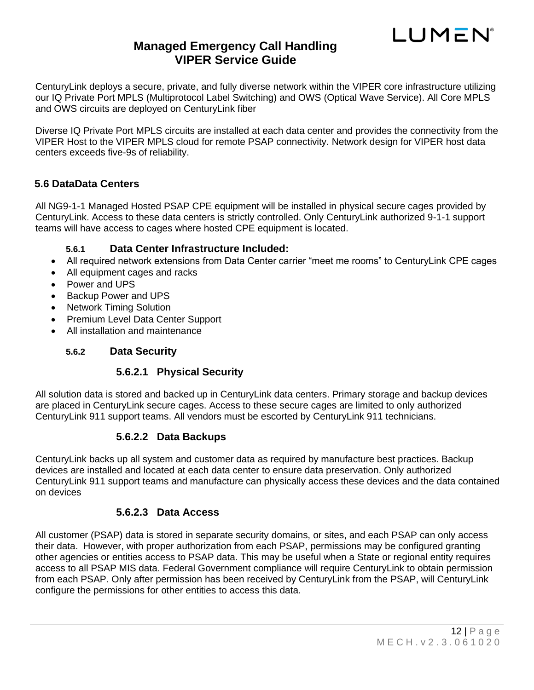

CenturyLink deploys a secure, private, and fully diverse network within the VIPER core infrastructure utilizing our IQ Private Port MPLS (Multiprotocol Label Switching) and OWS (Optical Wave Service). All Core MPLS and OWS circuits are deployed on CenturyLink fiber

Diverse IQ Private Port MPLS circuits are installed at each data center and provides the connectivity from the VIPER Host to the VIPER MPLS cloud for remote PSAP connectivity. Network design for VIPER host data centers exceeds five-9s of reliability.

#### <span id="page-11-0"></span>**5.6 DataData Centers**

All NG9-1-1 Managed Hosted PSAP CPE equipment will be installed in physical secure cages provided by CenturyLink. Access to these data centers is strictly controlled. Only CenturyLink authorized 9-1-1 support teams will have access to cages where hosted CPE equipment is located.

#### **5.6.1 Data Center Infrastructure Included:**

- <span id="page-11-1"></span>• All required network extensions from Data Center carrier "meet me rooms" to CenturyLink CPE cages
- All equipment cages and racks
- Power and UPS
- Backup Power and UPS
- Network Timing Solution
- Premium Level Data Center Support
- <span id="page-11-2"></span>• All installation and maintenance

#### **5.6.2 Data Security**

#### **5.6.2.1 Physical Security**

<span id="page-11-3"></span>All solution data is stored and backed up in CenturyLink data centers. Primary storage and backup devices are placed in CenturyLink secure cages. Access to these secure cages are limited to only authorized CenturyLink 911 support teams. All vendors must be escorted by CenturyLink 911 technicians.

#### **5.6.2.2 Data Backups**

<span id="page-11-4"></span>CenturyLink backs up all system and customer data as required by manufacture best practices. Backup devices are installed and located at each data center to ensure data preservation. Only authorized CenturyLink 911 support teams and manufacture can physically access these devices and the data contained on devices

#### **5.6.2.3 Data Access**

<span id="page-11-5"></span>All customer (PSAP) data is stored in separate security domains, or sites, and each PSAP can only access their data. However, with proper authorization from each PSAP, permissions may be configured granting other agencies or entities access to PSAP data. This may be useful when a State or regional entity requires access to all PSAP MIS data. Federal Government compliance will require CenturyLink to obtain permission from each PSAP. Only after permission has been received by CenturyLink from the PSAP, will CenturyLink configure the permissions for other entities to access this data.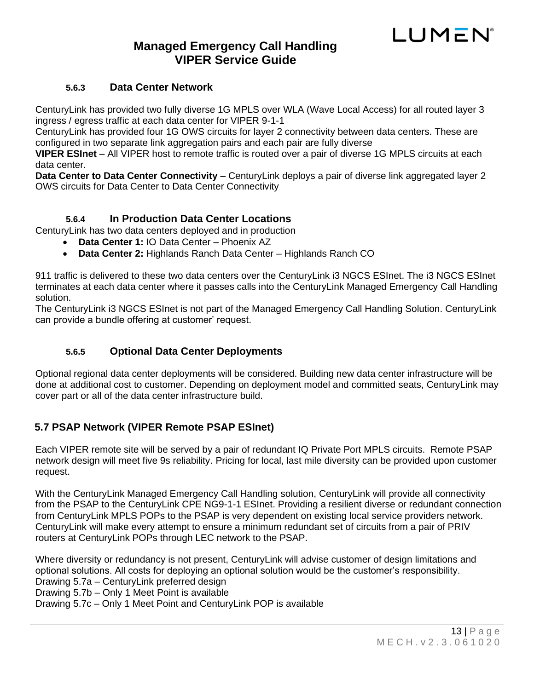# **Managed Emergency Call Handling VIPER Service Guide**

#### **5.6.3 Data Center Network**

<span id="page-12-0"></span>CenturyLink has provided two fully diverse 1G MPLS over WLA (Wave Local Access) for all routed layer 3 ingress / egress traffic at each data center for VIPER 9-1-1

CenturyLink has provided four 1G OWS circuits for layer 2 connectivity between data centers. These are configured in two separate link aggregation pairs and each pair are fully diverse

**VIPER ESInet** – All VIPER host to remote traffic is routed over a pair of diverse 1G MPLS circuits at each data center.

**Data Center to Data Center Connectivity** – CenturyLink deploys a pair of diverse link aggregated layer 2 OWS circuits for Data Center to Data Center Connectivity

#### **5.6.4 In Production Data Center Locations**

<span id="page-12-1"></span>CenturyLink has two data centers deployed and in production

- **Data Center 1:** IO Data Center Phoenix AZ
- **Data Center 2:** Highlands Ranch Data Center Highlands Ranch CO

911 traffic is delivered to these two data centers over the CenturyLink i3 NGCS ESInet. The i3 NGCS ESInet terminates at each data center where it passes calls into the CenturyLink Managed Emergency Call Handling solution.

The CenturyLink i3 NGCS ESInet is not part of the Managed Emergency Call Handling Solution. CenturyLink can provide a bundle offering at customer' request.

#### **5.6.5 Optional Data Center Deployments**

<span id="page-12-2"></span>Optional regional data center deployments will be considered. Building new data center infrastructure will be done at additional cost to customer. Depending on deployment model and committed seats, CenturyLink may cover part or all of the data center infrastructure build.

#### <span id="page-12-3"></span>**5.7 PSAP Network (VIPER Remote PSAP ESInet)**

Each VIPER remote site will be served by a pair of redundant IQ Private Port MPLS circuits. Remote PSAP network design will meet five 9s reliability. Pricing for local, last mile diversity can be provided upon customer request.

With the CenturyLink Managed Emergency Call Handling solution, CenturyLink will provide all connectivity from the PSAP to the CenturyLink CPE NG9-1-1 ESInet. Providing a resilient diverse or redundant connection from CenturyLink MPLS POPs to the PSAP is very dependent on existing local service providers network. CenturyLink will make every attempt to ensure a minimum redundant set of circuits from a pair of PRIV routers at CenturyLink POPs through LEC network to the PSAP.

Where diversity or redundancy is not present, CenturyLink will advise customer of design limitations and optional solutions. All costs for deploying an optional solution would be the customer's responsibility. Drawing 5.7a – CenturyLink preferred design

Drawing 5.7b – Only 1 Meet Point is available

Drawing 5.7c – Only 1 Meet Point and CenturyLink POP is available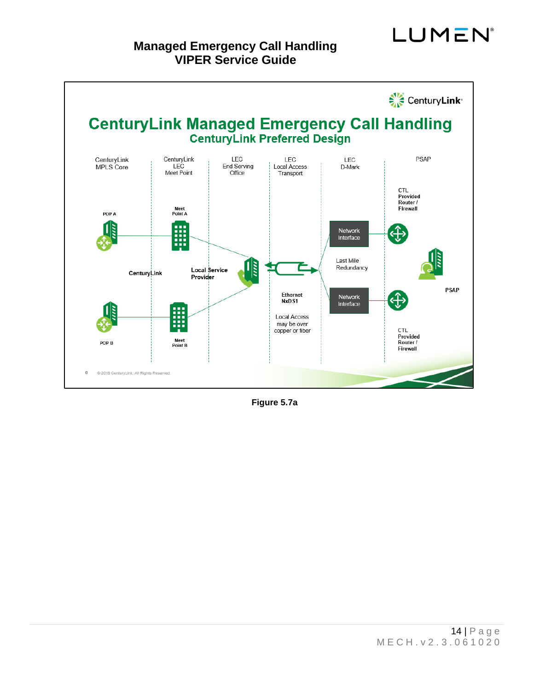# **Managed Emergency Call Handling VIPER Service Guide**



**Figure 5.7a**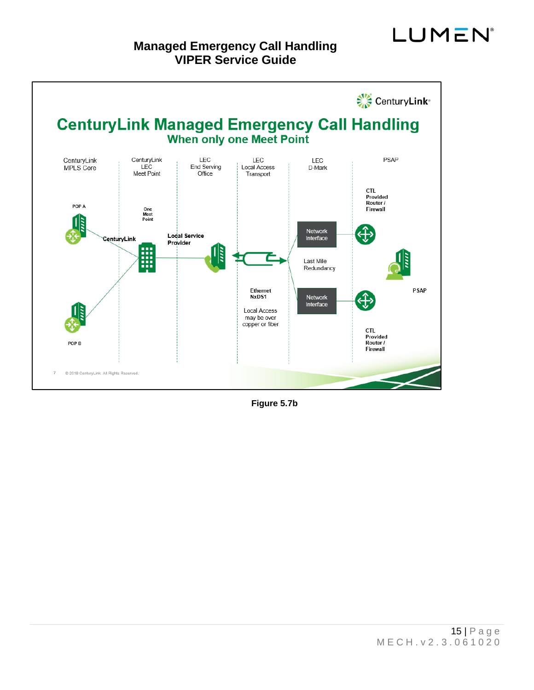

**Figure 5.7b**

**LUMEN**<sup>®</sup>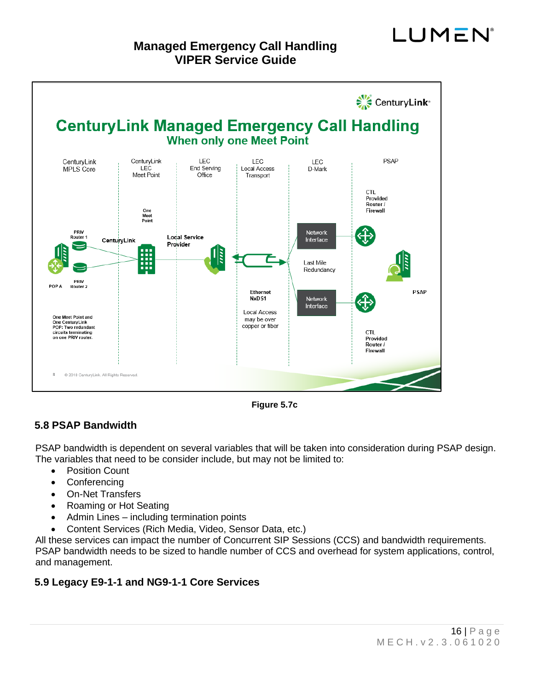

**Figure 5.7c**

#### <span id="page-15-0"></span>**5.8 PSAP Bandwidth**

PSAP bandwidth is dependent on several variables that will be taken into consideration during PSAP design. The variables that need to be consider include, but may not be limited to:

- Position Count
- Conferencing
- On-Net Transfers
- Roaming or Hot Seating
- Admin Lines including termination points
- Content Services (Rich Media, Video, Sensor Data, etc.)

All these services can impact the number of Concurrent SIP Sessions (CCS) and bandwidth requirements. PSAP bandwidth needs to be sized to handle number of CCS and overhead for system applications, control, and management.

#### <span id="page-15-1"></span>**5.9 Legacy E9-1-1 and NG9-1-1 Core Services**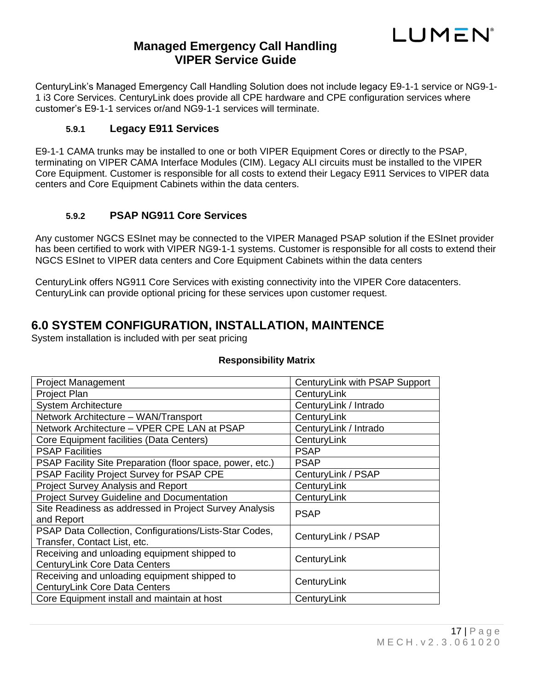

CenturyLink's Managed Emergency Call Handling Solution does not include legacy E9-1-1 service or NG9-1- 1 i3 Core Services. CenturyLink does provide all CPE hardware and CPE configuration services where customer's E9-1-1 services or/and NG9-1-1 services will terminate.

#### **5.9.1 Legacy E911 Services**

<span id="page-16-0"></span>E9-1-1 CAMA trunks may be installed to one or both VIPER Equipment Cores or directly to the PSAP, terminating on VIPER CAMA Interface Modules (CIM). Legacy ALI circuits must be installed to the VIPER Core Equipment. Customer is responsible for all costs to extend their Legacy E911 Services to VIPER data centers and Core Equipment Cabinets within the data centers.

#### **5.9.2 PSAP NG911 Core Services**

<span id="page-16-1"></span>Any customer NGCS ESInet may be connected to the VIPER Managed PSAP solution if the ESInet provider has been certified to work with VIPER NG9-1-1 systems. Customer is responsible for all costs to extend their NGCS ESInet to VIPER data centers and Core Equipment Cabinets within the data centers

CenturyLink offers NG911 Core Services with existing connectivity into the VIPER Core datacenters. CenturyLink can provide optional pricing for these services upon customer request.

### <span id="page-16-2"></span>**6.0 SYSTEM CONFIGURATION, INSTALLATION, MAINTENCE**

System installation is included with per seat pricing

| <b>Project Management</b>                                                              | CenturyLink with PSAP Support |
|----------------------------------------------------------------------------------------|-------------------------------|
| Project Plan                                                                           | CenturyLink                   |
| <b>System Architecture</b>                                                             | CenturyLink / Intrado         |
| Network Architecture - WAN/Transport                                                   | CenturyLink                   |
| Network Architecture – VPER CPE LAN at PSAP                                            | CenturyLink / Intrado         |
| Core Equipment facilities (Data Centers)                                               | CenturyLink                   |
| <b>PSAP Facilities</b>                                                                 | <b>PSAP</b>                   |
| PSAP Facility Site Preparation (floor space, power, etc.)                              | <b>PSAP</b>                   |
| PSAP Facility Project Survey for PSAP CPE                                              | CenturyLink / PSAP            |
| Project Survey Analysis and Report                                                     | CenturyLink                   |
| <b>Project Survey Guideline and Documentation</b>                                      | CenturyLink                   |
| Site Readiness as addressed in Project Survey Analysis<br>and Report                   | <b>PSAP</b>                   |
| PSAP Data Collection, Configurations/Lists-Star Codes,<br>Transfer, Contact List, etc. | CenturyLink / PSAP            |
| Receiving and unloading equipment shipped to<br><b>CenturyLink Core Data Centers</b>   | CenturyLink                   |
| Receiving and unloading equipment shipped to<br>CenturyLink Core Data Centers          | CenturyLink                   |
| Core Equipment install and maintain at host                                            | CenturyLink                   |

#### **Responsibility Matrix**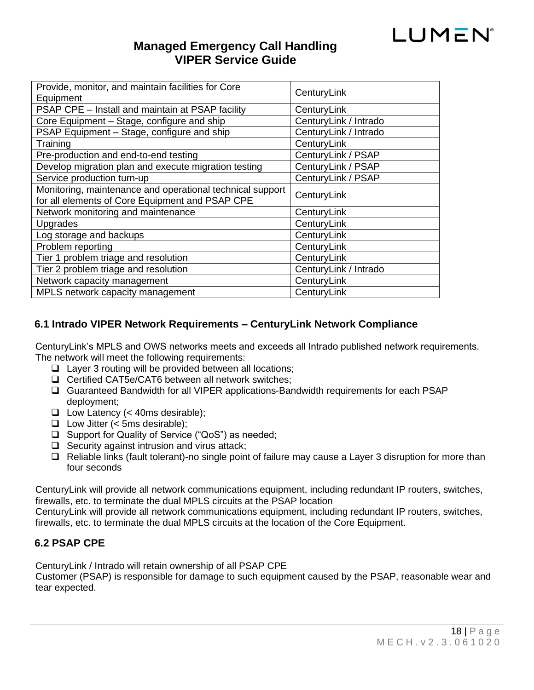

| Provide, monitor, and maintain facilities for Core        | CenturyLink           |  |
|-----------------------------------------------------------|-----------------------|--|
| Equipment                                                 |                       |  |
| PSAP CPE - Install and maintain at PSAP facility          | CenturyLink           |  |
| Core Equipment – Stage, configure and ship                | CenturyLink / Intrado |  |
| PSAP Equipment - Stage, configure and ship                | CenturyLink / Intrado |  |
| Training                                                  | CenturyLink           |  |
| Pre-production and end-to-end testing                     | CenturyLink / PSAP    |  |
| Develop migration plan and execute migration testing      | CenturyLink / PSAP    |  |
| Service production turn-up                                | CenturyLink / PSAP    |  |
| Monitoring, maintenance and operational technical support | CenturyLink           |  |
| for all elements of Core Equipment and PSAP CPE           |                       |  |
| Network monitoring and maintenance                        | CenturyLink           |  |
| <b>Upgrades</b>                                           | CenturyLink           |  |
| Log storage and backups                                   | CenturyLink           |  |
| Problem reporting                                         | CenturyLink           |  |
| Tier 1 problem triage and resolution                      | CenturyLink           |  |
| Tier 2 problem triage and resolution                      | CenturyLink / Intrado |  |
| Network capacity management                               | CenturyLink           |  |
| MPLS network capacity management                          | CenturyLink           |  |

#### <span id="page-17-0"></span>**6.1 Intrado VIPER Network Requirements – CenturyLink Network Compliance**

CenturyLink's MPLS and OWS networks meets and exceeds all Intrado published network requirements. The network will meet the following requirements:

- ❑ Layer 3 routing will be provided between all locations;
- ❑ Certified CAT5e/CAT6 between all network switches;
- ❑ Guaranteed Bandwidth for all VIPER applications-Bandwidth requirements for each PSAP deployment;
- ❑ Low Latency (< 40ms desirable);
- ❑ Low Jitter (< 5ms desirable);
- ❑ Support for Quality of Service ("QoS") as needed;
- ❑ Security against intrusion and virus attack;
- ❑ Reliable links (fault tolerant)-no single point of failure may cause a Layer 3 disruption for more than four seconds

CenturyLink will provide all network communications equipment, including redundant IP routers, switches, firewalls, etc. to terminate the dual MPLS circuits at the PSAP location

CenturyLink will provide all network communications equipment, including redundant IP routers, switches, firewalls, etc. to terminate the dual MPLS circuits at the location of the Core Equipment.

#### <span id="page-17-1"></span>**6.2 PSAP CPE**

CenturyLink / Intrado will retain ownership of all PSAP CPE

Customer (PSAP) is responsible for damage to such equipment caused by the PSAP, reasonable wear and tear expected.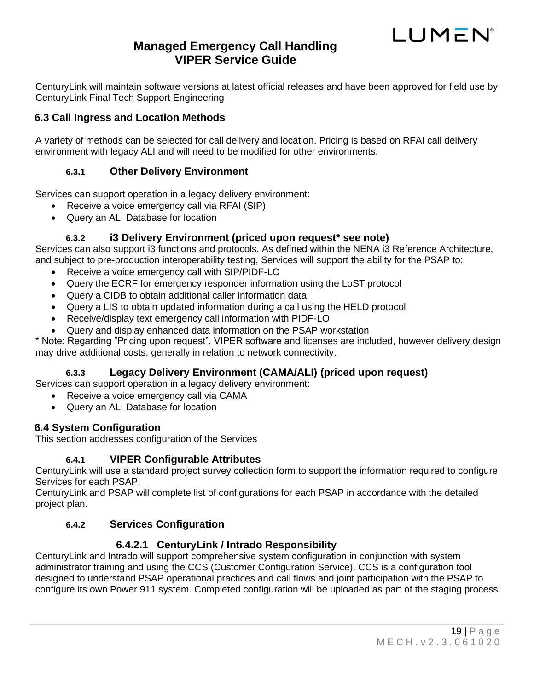# **Managed Emergency Call Handling VIPER Service Guide**

CenturyLink will maintain software versions at latest official releases and have been approved for field use by CenturyLink Final Tech Support Engineering

#### <span id="page-18-0"></span>**6.3 Call Ingress and Location Methods**

<span id="page-18-1"></span>A variety of methods can be selected for call delivery and location. Pricing is based on RFAI call delivery environment with legacy ALI and will need to be modified for other environments.

#### **6.3.1 Other Delivery Environment**

Services can support operation in a legacy delivery environment:

- Receive a voice emergency call via RFAI (SIP)
- Query an ALI Database for location

#### **6.3.2 i3 Delivery Environment (priced upon request\* see note)**

<span id="page-18-2"></span>Services can also support i3 functions and protocols. As defined within the NENA i3 Reference Architecture, and subject to pre-production interoperability testing, Services will support the ability for the PSAP to:

- Receive a voice emergency call with SIP/PIDF-LO
- Query the ECRF for emergency responder information using the LoST protocol
- Query a CIDB to obtain additional caller information data
- Query a LIS to obtain updated information during a call using the HELD protocol
- Receive/display text emergency call information with PIDF-LO
- Query and display enhanced data information on the PSAP workstation

\* Note: Regarding "Pricing upon request", VIPER software and licenses are included, however delivery design may drive additional costs, generally in relation to network connectivity.

#### **6.3.3 Legacy Delivery Environment (CAMA/ALI) (priced upon request)**

<span id="page-18-3"></span>Services can support operation in a legacy delivery environment:

- Receive a voice emergency call via CAMA
- Query an ALI Database for location

#### <span id="page-18-4"></span>**6.4 System Configuration**

<span id="page-18-5"></span>This section addresses configuration of the Services

#### **6.4.1 VIPER Configurable Attributes**

CenturyLink will use a standard project survey collection form to support the information required to configure Services for each PSAP.

<span id="page-18-6"></span>CenturyLink and PSAP will complete list of configurations for each PSAP in accordance with the detailed project plan.

#### **6.4.2 Services Configuration**

#### **6.4.2.1 CenturyLink / Intrado Responsibility**

<span id="page-18-7"></span>CenturyLink and Intrado will support comprehensive system configuration in conjunction with system administrator training and using the CCS (Customer Configuration Service). CCS is a configuration tool designed to understand PSAP operational practices and call flows and joint participation with the PSAP to configure its own Power 911 system. Completed configuration will be uploaded as part of the staging process.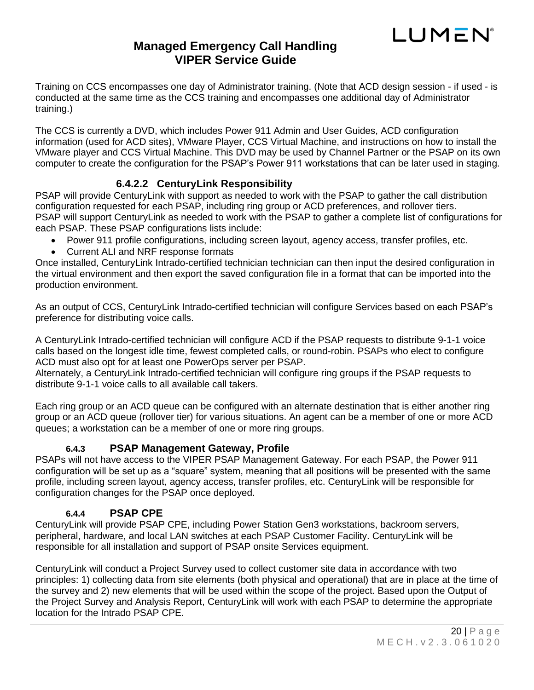

Training on CCS encompasses one day of Administrator training. (Note that ACD design session - if used - is conducted at the same time as the CCS training and encompasses one additional day of Administrator training.)

The CCS is currently a DVD, which includes Power 911 Admin and User Guides, ACD configuration information (used for ACD sites), VMware Player, CCS Virtual Machine, and instructions on how to install the VMware player and CCS Virtual Machine. This DVD may be used by Channel Partner or the PSAP on its own computer to create the configuration for the PSAP's Power 911 workstations that can be later used in staging.

#### **6.4.2.2 CenturyLink Responsibility**

<span id="page-19-0"></span>PSAP will provide CenturyLink with support as needed to work with the PSAP to gather the call distribution configuration requested for each PSAP, including ring group or ACD preferences, and rollover tiers. PSAP will support CenturyLink as needed to work with the PSAP to gather a complete list of configurations for each PSAP. These PSAP configurations lists include:

- Power 911 profile configurations, including screen layout, agency access, transfer profiles, etc.
- Current ALI and NRF response formats

Once installed, CenturyLink Intrado-certified technician technician can then input the desired configuration in the virtual environment and then export the saved configuration file in a format that can be imported into the production environment.

As an output of CCS, CenturyLink Intrado-certified technician will configure Services based on each PSAP's preference for distributing voice calls.

A CenturyLink Intrado-certified technician will configure ACD if the PSAP requests to distribute 9-1-1 voice calls based on the longest idle time, fewest completed calls, or round-robin. PSAPs who elect to configure ACD must also opt for at least one PowerOps server per PSAP.

Alternately, a CenturyLink Intrado-certified technician will configure ring groups if the PSAP requests to distribute 9-1-1 voice calls to all available call takers.

Each ring group or an ACD queue can be configured with an alternate destination that is either another ring group or an ACD queue (rollover tier) for various situations. An agent can be a member of one or more ACD queues; a workstation can be a member of one or more ring groups.

#### **6.4.3 PSAP Management Gateway, Profile**

<span id="page-19-1"></span>PSAPs will not have access to the VIPER PSAP Management Gateway. For each PSAP, the Power 911 configuration will be set up as a "square" system, meaning that all positions will be presented with the same profile, including screen layout, agency access, transfer profiles, etc. CenturyLink will be responsible for configuration changes for the PSAP once deployed.

#### **6.4.4 PSAP CPE**

<span id="page-19-2"></span>CenturyLink will provide PSAP CPE, including Power Station Gen3 workstations, backroom servers, peripheral, hardware, and local LAN switches at each PSAP Customer Facility. CenturyLink will be responsible for all installation and support of PSAP onsite Services equipment.

CenturyLink will conduct a Project Survey used to collect customer site data in accordance with two principles: 1) collecting data from site elements (both physical and operational) that are in place at the time of the survey and 2) new elements that will be used within the scope of the project. Based upon the Output of the Project Survey and Analysis Report, CenturyLink will work with each PSAP to determine the appropriate location for the Intrado PSAP CPE.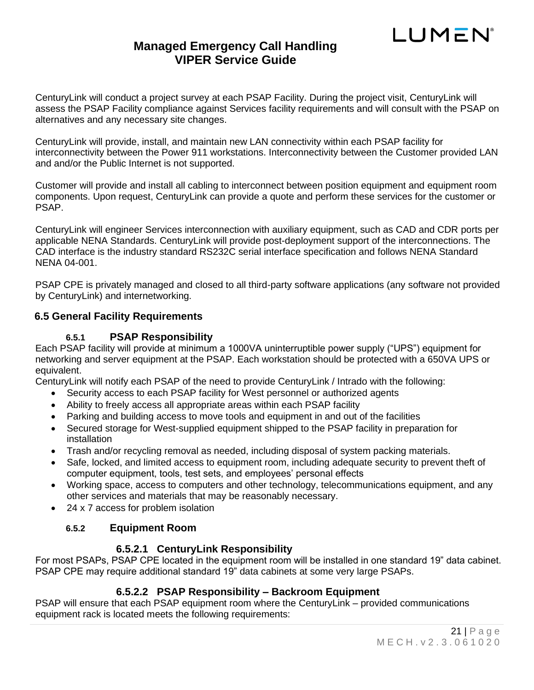# **Managed Emergency Call Handling VIPER Service Guide**

CenturyLink will conduct a project survey at each PSAP Facility. During the project visit, CenturyLink will assess the PSAP Facility compliance against Services facility requirements and will consult with the PSAP on alternatives and any necessary site changes.

CenturyLink will provide, install, and maintain new LAN connectivity within each PSAP facility for interconnectivity between the Power 911 workstations. Interconnectivity between the Customer provided LAN and and/or the Public Internet is not supported.

Customer will provide and install all cabling to interconnect between position equipment and equipment room components. Upon request, CenturyLink can provide a quote and perform these services for the customer or PSAP.

CenturyLink will engineer Services interconnection with auxiliary equipment, such as CAD and CDR ports per applicable NENA Standards. CenturyLink will provide post-deployment support of the interconnections. The CAD interface is the industry standard RS232C serial interface specification and follows NENA Standard NENA 04-001.

PSAP CPE is privately managed and closed to all third-party software applications (any software not provided by CenturyLink) and internetworking.

#### <span id="page-20-1"></span><span id="page-20-0"></span>**6.5 General Facility Requirements**

#### **6.5.1 PSAP Responsibility**

Each PSAP facility will provide at minimum a 1000VA uninterruptible power supply ("UPS") equipment for networking and server equipment at the PSAP. Each workstation should be protected with a 650VA UPS or equivalent.

CenturyLink will notify each PSAP of the need to provide CenturyLink / Intrado with the following:

- Security access to each PSAP facility for West personnel or authorized agents
- Ability to freely access all appropriate areas within each PSAP facility
- Parking and building access to move tools and equipment in and out of the facilities
- Secured storage for West-supplied equipment shipped to the PSAP facility in preparation for installation
- Trash and/or recycling removal as needed, including disposal of system packing materials.
- Safe, locked, and limited access to equipment room, including adequate security to prevent theft of computer equipment, tools, test sets, and employees' personal effects
- Working space, access to computers and other technology, telecommunications equipment, and any other services and materials that may be reasonably necessary.
- <span id="page-20-2"></span>• 24 x 7 access for problem isolation

#### **6.5.2 Equipment Room**

#### **6.5.2.1 CenturyLink Responsibility**

<span id="page-20-3"></span>For most PSAPs, PSAP CPE located in the equipment room will be installed in one standard 19" data cabinet. PSAP CPE may require additional standard 19" data cabinets at some very large PSAPs.

#### **6.5.2.2 PSAP Responsibility – Backroom Equipment**

<span id="page-20-4"></span>PSAP will ensure that each PSAP equipment room where the CenturyLink – provided communications equipment rack is located meets the following requirements: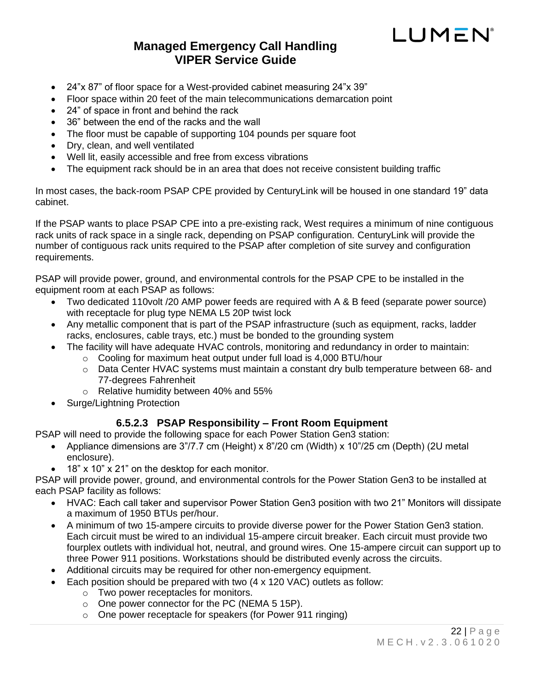# **Managed Emergency Call Handling VIPER Service Guide**

- 24"x 87" of floor space for a West-provided cabinet measuring 24"x 39"
- Floor space within 20 feet of the main telecommunications demarcation point
- 24" of space in front and behind the rack
- 36" between the end of the racks and the wall
- The floor must be capable of supporting 104 pounds per square foot
- Dry, clean, and well ventilated
- Well lit, easily accessible and free from excess vibrations
- The equipment rack should be in an area that does not receive consistent building traffic

In most cases, the back-room PSAP CPE provided by CenturyLink will be housed in one standard 19" data cabinet.

If the PSAP wants to place PSAP CPE into a pre-existing rack, West requires a minimum of nine contiguous rack units of rack space in a single rack, depending on PSAP configuration. CenturyLink will provide the number of contiguous rack units required to the PSAP after completion of site survey and configuration requirements.

PSAP will provide power, ground, and environmental controls for the PSAP CPE to be installed in the equipment room at each PSAP as follows:

- Two dedicated 110volt /20 AMP power feeds are required with A & B feed (separate power source) with receptacle for plug type NEMA L5 20P twist lock
- Any metallic component that is part of the PSAP infrastructure (such as equipment, racks, ladder racks, enclosures, cable trays, etc.) must be bonded to the grounding system
- The facility will have adequate HVAC controls, monitoring and redundancy in order to maintain:
	- o Cooling for maximum heat output under full load is 4,000 BTU/hour
	- o Data Center HVAC systems must maintain a constant dry bulb temperature between 68- and 77-degrees Fahrenheit
	- o Relative humidity between 40% and 55%
- Surge/Lightning Protection

#### **6.5.2.3 PSAP Responsibility – Front Room Equipment**

<span id="page-21-0"></span>PSAP will need to provide the following space for each Power Station Gen3 station:

- Appliance dimensions are 3"/7.7 cm (Height) x 8"/20 cm (Width) x 10"/25 cm (Depth) (2U metal enclosure).
- 18" x 10" x 21" on the desktop for each monitor.

PSAP will provide power, ground, and environmental controls for the Power Station Gen3 to be installed at each PSAP facility as follows:

- HVAC: Each call taker and supervisor Power Station Gen3 position with two 21" Monitors will dissipate a maximum of 1950 BTUs per/hour.
- A minimum of two 15-ampere circuits to provide diverse power for the Power Station Gen3 station. Each circuit must be wired to an individual 15-ampere circuit breaker. Each circuit must provide two fourplex outlets with individual hot, neutral, and ground wires. One 15-ampere circuit can support up to three Power 911 positions. Workstations should be distributed evenly across the circuits.
- Additional circuits may be required for other non-emergency equipment.
- Each position should be prepared with two (4 x 120 VAC) outlets as follow:
	- o Two power receptacles for monitors.
	- o One power connector for the PC (NEMA 5 15P).
	- o One power receptacle for speakers (for Power 911 ringing)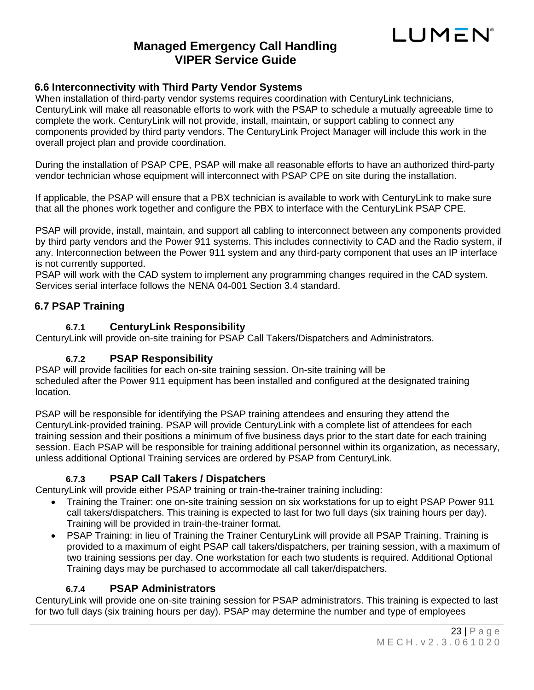

#### <span id="page-22-0"></span>**6.6 Interconnectivity with Third Party Vendor Systems**

When installation of third-party vendor systems requires coordination with CenturyLink technicians, CenturyLink will make all reasonable efforts to work with the PSAP to schedule a mutually agreeable time to complete the work. CenturyLink will not provide, install, maintain, or support cabling to connect any components provided by third party vendors. The CenturyLink Project Manager will include this work in the overall project plan and provide coordination.

During the installation of PSAP CPE, PSAP will make all reasonable efforts to have an authorized third-party vendor technician whose equipment will interconnect with PSAP CPE on site during the installation.

If applicable, the PSAP will ensure that a PBX technician is available to work with CenturyLink to make sure that all the phones work together and configure the PBX to interface with the CenturyLink PSAP CPE.

PSAP will provide, install, maintain, and support all cabling to interconnect between any components provided by third party vendors and the Power 911 systems. This includes connectivity to CAD and the Radio system, if any. Interconnection between the Power 911 system and any third-party component that uses an IP interface is not currently supported.

PSAP will work with the CAD system to implement any programming changes required in the CAD system. Services serial interface follows the NENA 04-001 Section 3.4 standard.

#### <span id="page-22-2"></span><span id="page-22-1"></span>**6.7 PSAP Training**

#### **6.7.1 CenturyLink Responsibility**

<span id="page-22-3"></span>CenturyLink will provide on-site training for PSAP Call Takers/Dispatchers and Administrators.

#### **6.7.2 PSAP Responsibility**

PSAP will provide facilities for each on-site training session. On-site training will be scheduled after the Power 911 equipment has been installed and configured at the designated training location.

PSAP will be responsible for identifying the PSAP training attendees and ensuring they attend the CenturyLink-provided training. PSAP will provide CenturyLink with a complete list of attendees for each training session and their positions a minimum of five business days prior to the start date for each training session. Each PSAP will be responsible for training additional personnel within its organization, as necessary, unless additional Optional Training services are ordered by PSAP from CenturyLink.

#### **6.7.3 PSAP Call Takers / Dispatchers**

<span id="page-22-4"></span>CenturyLink will provide either PSAP training or train-the-trainer training including:

- Training the Trainer: one on-site training session on six workstations for up to eight PSAP Power 911 call takers/dispatchers. This training is expected to last for two full days (six training hours per day). Training will be provided in train-the-trainer format.
- PSAP Training: in lieu of Training the Trainer CenturyLink will provide all PSAP Training. Training is provided to a maximum of eight PSAP call takers/dispatchers, per training session, with a maximum of two training sessions per day. One workstation for each two students is required. Additional Optional Training days may be purchased to accommodate all call taker/dispatchers.

#### **6.7.4 PSAP Administrators**

<span id="page-22-5"></span>CenturyLink will provide one on-site training session for PSAP administrators. This training is expected to last for two full days (six training hours per day). PSAP may determine the number and type of employees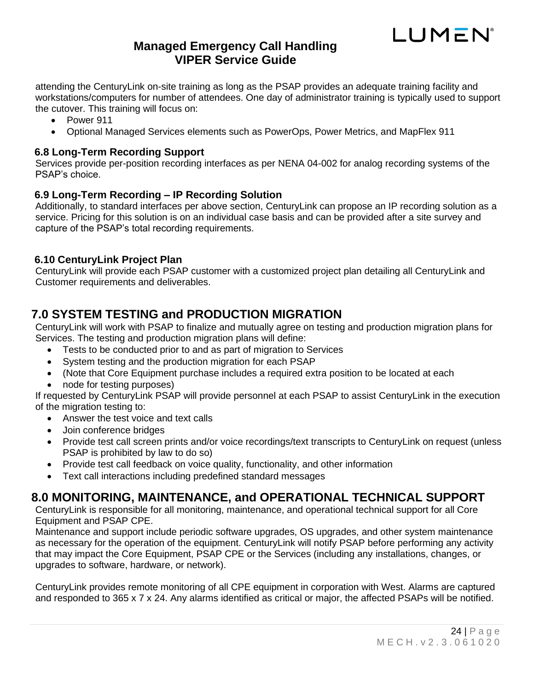

attending the CenturyLink on-site training as long as the PSAP provides an adequate training facility and workstations/computers for number of attendees. One day of administrator training is typically used to support the cutover. This training will focus on:

- Power 911
- Optional Managed Services elements such as PowerOps, Power Metrics, and MapFlex 911

#### <span id="page-23-0"></span>**6.8 Long-Term Recording Support**

Services provide per-position recording interfaces as per NENA 04-002 for analog recording systems of the PSAP's choice.

#### <span id="page-23-1"></span>**6.9 Long-Term Recording – IP Recording Solution**

Additionally, to standard interfaces per above section, CenturyLink can propose an IP recording solution as a service. Pricing for this solution is on an individual case basis and can be provided after a site survey and capture of the PSAP's total recording requirements.

#### <span id="page-23-2"></span>**6.10 CenturyLink Project Plan**

CenturyLink will provide each PSAP customer with a customized project plan detailing all CenturyLink and Customer requirements and deliverables.

# <span id="page-23-3"></span>**7.0 SYSTEM TESTING and PRODUCTION MIGRATION**

CenturyLink will work with PSAP to finalize and mutually agree on testing and production migration plans for Services. The testing and production migration plans will define:

- Tests to be conducted prior to and as part of migration to Services
- System testing and the production migration for each PSAP
- (Note that Core Equipment purchase includes a required extra position to be located at each
- node for testing purposes)

If requested by CenturyLink PSAP will provide personnel at each PSAP to assist CenturyLink in the execution of the migration testing to:

- Answer the test voice and text calls
- Join conference bridges
- Provide test call screen prints and/or voice recordings/text transcripts to CenturyLink on request (unless PSAP is prohibited by law to do so)
- Provide test call feedback on voice quality, functionality, and other information
- Text call interactions including predefined standard messages

# <span id="page-23-4"></span>**8.0 MONITORING, MAINTENANCE, and OPERATIONAL TECHNICAL SUPPORT**

CenturyLink is responsible for all monitoring, maintenance, and operational technical support for all Core Equipment and PSAP CPE.

Maintenance and support include periodic software upgrades, OS upgrades, and other system maintenance as necessary for the operation of the equipment. CenturyLink will notify PSAP before performing any activity that may impact the Core Equipment, PSAP CPE or the Services (including any installations, changes, or upgrades to software, hardware, or network).

CenturyLink provides remote monitoring of all CPE equipment in corporation with West. Alarms are captured and responded to 365 x 7 x 24. Any alarms identified as critical or major, the affected PSAPs will be notified.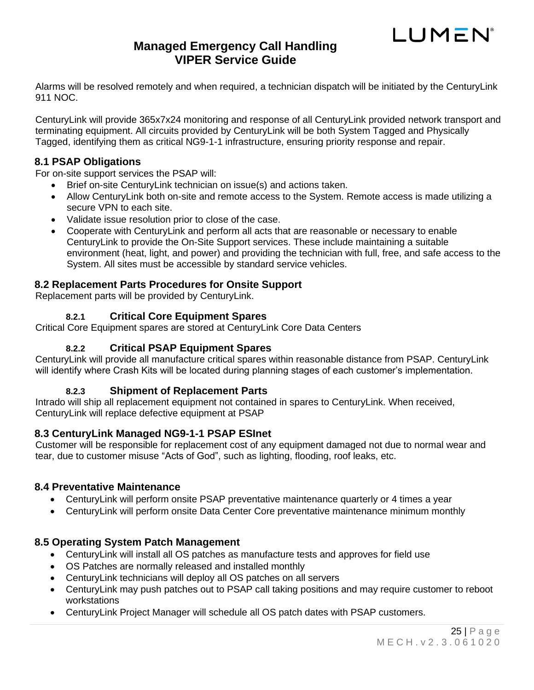# **Managed Emergency Call Handling VIPER Service Guide**

Alarms will be resolved remotely and when required, a technician dispatch will be initiated by the CenturyLink 911 NOC.

CenturyLink will provide 365x7x24 monitoring and response of all CenturyLink provided network transport and terminating equipment. All circuits provided by CenturyLink will be both System Tagged and Physically Tagged, identifying them as critical NG9-1-1 infrastructure, ensuring priority response and repair.

#### <span id="page-24-0"></span>**8.1 PSAP Obligations**

For on-site support services the PSAP will:

- Brief on-site CenturyLink technician on issue(s) and actions taken.
- Allow CenturyLink both on-site and remote access to the System. Remote access is made utilizing a secure VPN to each site.
- Validate issue resolution prior to close of the case.
- Cooperate with CenturyLink and perform all acts that are reasonable or necessary to enable CenturyLink to provide the On-Site Support services. These include maintaining a suitable environment (heat, light, and power) and providing the technician with full, free, and safe access to the System. All sites must be accessible by standard service vehicles.

#### <span id="page-24-1"></span>**8.2 Replacement Parts Procedures for Onsite Support**

<span id="page-24-2"></span>Replacement parts will be provided by CenturyLink.

#### **8.2.1 Critical Core Equipment Spares**

<span id="page-24-3"></span>Critical Core Equipment spares are stored at CenturyLink Core Data Centers

#### **8.2.2 Critical PSAP Equipment Spares**

CenturyLink will provide all manufacture critical spares within reasonable distance from PSAP. CenturyLink will identify where Crash Kits will be located during planning stages of each customer's implementation.

#### **8.2.3 Shipment of Replacement Parts**

<span id="page-24-4"></span>Intrado will ship all replacement equipment not contained in spares to CenturyLink. When received, CenturyLink will replace defective equipment at PSAP

#### <span id="page-24-5"></span>**8.3 CenturyLink Managed NG9-1-1 PSAP ESInet**

Customer will be responsible for replacement cost of any equipment damaged not due to normal wear and tear, due to customer misuse "Acts of God", such as lighting, flooding, roof leaks, etc.

#### <span id="page-24-6"></span>**8.4 Preventative Maintenance**

- CenturyLink will perform onsite PSAP preventative maintenance quarterly or 4 times a year
- CenturyLink will perform onsite Data Center Core preventative maintenance minimum monthly

#### <span id="page-24-7"></span>**8.5 Operating System Patch Management**

- CenturyLink will install all OS patches as manufacture tests and approves for field use
- OS Patches are normally released and installed monthly
- CenturyLink technicians will deploy all OS patches on all servers
- CenturyLink may push patches out to PSAP call taking positions and may require customer to reboot workstations
- CenturyLink Project Manager will schedule all OS patch dates with PSAP customers.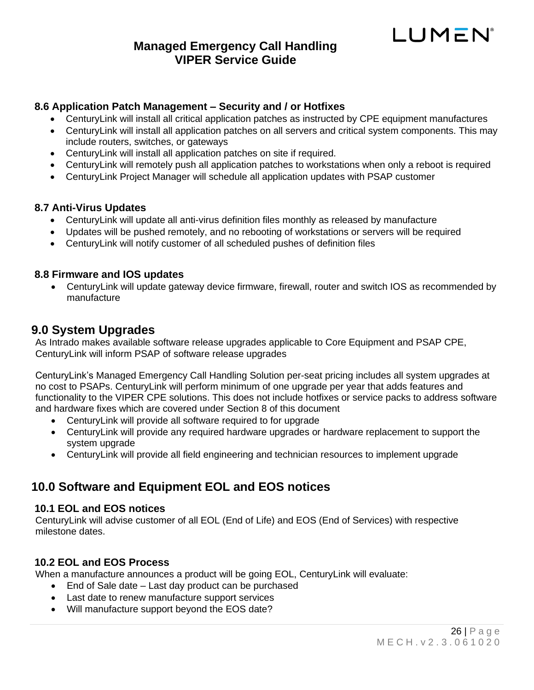#### <span id="page-25-0"></span>**8.6 Application Patch Management – Security and / or Hotfixes**

- CenturyLink will install all critical application patches as instructed by CPE equipment manufactures
- CenturyLink will install all application patches on all servers and critical system components. This may include routers, switches, or gateways
- CenturyLink will install all application patches on site if required.
- CenturyLink will remotely push all application patches to workstations when only a reboot is required
- CenturyLink Project Manager will schedule all application updates with PSAP customer

#### <span id="page-25-1"></span>**8.7 Anti-Virus Updates**

- CenturyLink will update all anti-virus definition files monthly as released by manufacture
- Updates will be pushed remotely, and no rebooting of workstations or servers will be required
- CenturyLink will notify customer of all scheduled pushes of definition files

#### <span id="page-25-2"></span>**8.8 Firmware and IOS updates**

• CenturyLink will update gateway device firmware, firewall, router and switch IOS as recommended by manufacture

#### <span id="page-25-3"></span>**9.0 System Upgrades**

As Intrado makes available software release upgrades applicable to Core Equipment and PSAP CPE, CenturyLink will inform PSAP of software release upgrades

CenturyLink's Managed Emergency Call Handling Solution per-seat pricing includes all system upgrades at no cost to PSAPs. CenturyLink will perform minimum of one upgrade per year that adds features and functionality to the VIPER CPE solutions. This does not include hotfixes or service packs to address software and hardware fixes which are covered under Section 8 of this document

- CenturyLink will provide all software required to for upgrade
- CenturyLink will provide any required hardware upgrades or hardware replacement to support the system upgrade
- CenturyLink will provide all field engineering and technician resources to implement upgrade

# <span id="page-25-4"></span>**10.0 Software and Equipment EOL and EOS notices**

#### <span id="page-25-5"></span>**10.1 EOL and EOS notices**

CenturyLink will advise customer of all EOL (End of Life) and EOS (End of Services) with respective milestone dates.

#### <span id="page-25-6"></span>**10.2 EOL and EOS Process**

When a manufacture announces a product will be going EOL, CenturyLink will evaluate:

- End of Sale date Last day product can be purchased
- Last date to renew manufacture support services
- Will manufacture support beyond the EOS date?

LUMEN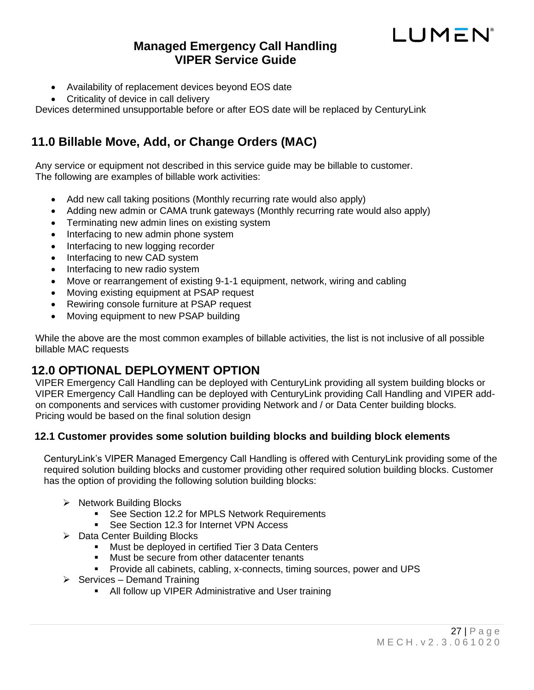# **Managed Emergency Call Handling VIPER Service Guide**

- Availability of replacement devices beyond EOS date
- Criticality of device in call delivery

Devices determined unsupportable before or after EOS date will be replaced by CenturyLink

# <span id="page-26-0"></span>**11.0 Billable Move, Add, or Change Orders (MAC)**

Any service or equipment not described in this service guide may be billable to customer. The following are examples of billable work activities:

- Add new call taking positions (Monthly recurring rate would also apply)
- Adding new admin or CAMA trunk gateways (Monthly recurring rate would also apply)
- Terminating new admin lines on existing system
- Interfacing to new admin phone system
- Interfacing to new logging recorder
- Interfacing to new CAD system
- Interfacing to new radio system
- Move or rearrangement of existing 9-1-1 equipment, network, wiring and cabling
- Moving existing equipment at PSAP request
- Rewiring console furniture at PSAP request
- Moving equipment to new PSAP building

While the above are the most common examples of billable activities, the list is not inclusive of all possible billable MAC requests

# <span id="page-26-1"></span>**12.0 OPTIONAL DEPLOYMENT OPTION**

VIPER Emergency Call Handling can be deployed with CenturyLink providing all system building blocks or VIPER Emergency Call Handling can be deployed with CenturyLink providing Call Handling and VIPER addon components and services with customer providing Network and / or Data Center building blocks. Pricing would be based on the final solution design

#### <span id="page-26-2"></span>**12.1 Customer provides some solution building blocks and building block elements**

CenturyLink's VIPER Managed Emergency Call Handling is offered with CenturyLink providing some of the required solution building blocks and customer providing other required solution building blocks. Customer has the option of providing the following solution building blocks:

- ➢ Network Building Blocks
	- See Section 12.2 for MPLS Network Requirements
	- See Section 12.3 for Internet VPN Access
- ➢ Data Center Building Blocks
	- Must be deployed in certified Tier 3 Data Centers
	- Must be secure from other datacenter tenants
	- Provide all cabinets, cabling, x-connects, timing sources, power and UPS
- $\triangleright$  Services Demand Training
	- All follow up VIPER Administrative and User training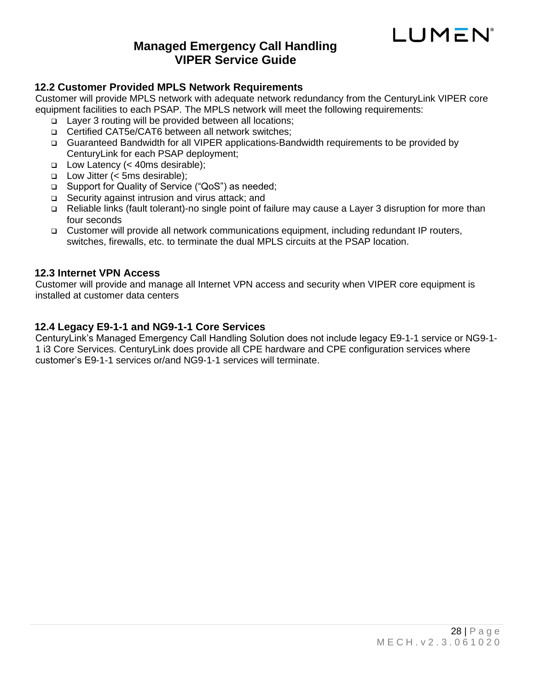

#### <span id="page-27-0"></span>**12.2 Customer Provided MPLS Network Requirements**

Customer will provide MPLS network with adequate network redundancy from the CenturyLink VIPER core equipment facilities to each PSAP. The MPLS network will meet the following requirements:

- ❑ Layer 3 routing will be provided between all locations;
- ❑ Certified CAT5e/CAT6 between all network switches;
- ❑ Guaranteed Bandwidth for all VIPER applications-Bandwidth requirements to be provided by CenturyLink for each PSAP deployment;
- ❑ Low Latency (< 40ms desirable);
- ❑ Low Jitter (< 5ms desirable);
- ❑ Support for Quality of Service ("QoS") as needed;
- ❑ Security against intrusion and virus attack; and
- ❑ Reliable links (fault tolerant)-no single point of failure may cause a Layer 3 disruption for more than four seconds
- ❑ Customer will provide all network communications equipment, including redundant IP routers, switches, firewalls, etc. to terminate the dual MPLS circuits at the PSAP location.

#### <span id="page-27-1"></span>**12.3 Internet VPN Access**

Customer will provide and manage all Internet VPN access and security when VIPER core equipment is installed at customer data centers

#### <span id="page-27-2"></span>**12.4 Legacy E9-1-1 and NG9-1-1 Core Services**

CenturyLink's Managed Emergency Call Handling Solution does not include legacy E9-1-1 service or NG9-1- 1 i3 Core Services. CenturyLink does provide all CPE hardware and CPE configuration services where customer's E9-1-1 services or/and NG9-1-1 services will terminate.